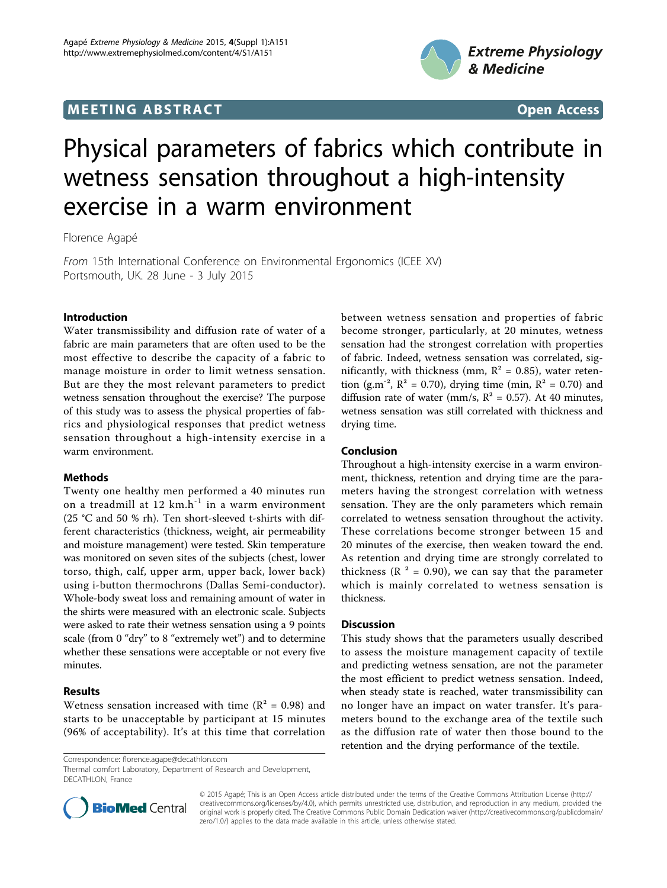# **MEETING ABSTRACT And SECONDITION** CONSUMING A STRACT AND SECONDITIONS Open Access



# Physical parameters of fabrics which contribute in wetness sensation throughout a high-intensity exercise in a warm environment

Florence Agapé

From 15th International Conference on Environmental Ergonomics (ICEE XV) Portsmouth, UK. 28 June - 3 July 2015

# Introduction

Water transmissibility and diffusion rate of water of a fabric are main parameters that are often used to be the most effective to describe the capacity of a fabric to manage moisture in order to limit wetness sensation. But are they the most relevant parameters to predict wetness sensation throughout the exercise? The purpose of this study was to assess the physical properties of fabrics and physiological responses that predict wetness sensation throughout a high-intensity exercise in a warm environment.

# **Methods**

Twenty one healthy men performed a 40 minutes run on a treadmill at  $12 \text{ km.h}^{-1}$  in a warm environment (25 °C and 50 % rh). Ten short-sleeved t-shirts with different characteristics (thickness, weight, air permeability and moisture management) were tested. Skin temperature was monitored on seven sites of the subjects (chest, lower torso, thigh, calf, upper arm, upper back, lower back) using i-button thermochrons (Dallas Semi-conductor). Whole-body sweat loss and remaining amount of water in the shirts were measured with an electronic scale. Subjects were asked to rate their wetness sensation using a 9 points scale (from 0 "dry" to 8 "extremely wet") and to determine whether these sensations were acceptable or not every five minutes.

# Results

Wetness sensation increased with time ( $R^2 = 0.98$ ) and starts to be unacceptable by participant at 15 minutes (96% of acceptability). It's at this time that correlation

Correspondence: [florence.agape@decathlon.com](mailto:florence.agape@decathlon.com)

Thermal comfort Laboratory, Department of Research and Development, DECATHLON, France

between wetness sensation and properties of fabric become stronger, particularly, at 20 minutes, wetness sensation had the strongest correlation with properties of fabric. Indeed, wetness sensation was correlated, significantly, with thickness (mm,  $R^2 = 0.85$ ), water retention (g.m<sup>-2</sup>,  $R^2 = 0.70$ ), drying time (min,  $R^2 = 0.70$ ) and diffusion rate of water (mm/s,  $R^2 = 0.57$ ). At 40 minutes, wetness sensation was still correlated with thickness and drying time.

# Conclusion

Throughout a high-intensity exercise in a warm environment, thickness, retention and drying time are the parameters having the strongest correlation with wetness sensation. They are the only parameters which remain correlated to wetness sensation throughout the activity. These correlations become stronger between 15 and 20 minutes of the exercise, then weaken toward the end. As retention and drying time are strongly correlated to thickness ( $R^2 = 0.90$ ), we can say that the parameter which is mainly correlated to wetness sensation is thickness.

### **Discussion**

This study shows that the parameters usually described to assess the moisture management capacity of textile and predicting wetness sensation, are not the parameter the most efficient to predict wetness sensation. Indeed, when steady state is reached, water transmissibility can no longer have an impact on water transfer. It's parameters bound to the exchange area of the textile such as the diffusion rate of water then those bound to the retention and the drying performance of the textile.



© 2015 Agapé; This is an Open Access article distributed under the terms of the Creative Commons Attribution License ([http://](http://creativecommons.org/licenses/by/4.0) [creativecommons.org/licenses/by/4.0](http://creativecommons.org/licenses/by/4.0)), which permits unrestricted use, distribution, and reproduction in any medium, provided the original work is properly cited. The Creative Commons Public Domain Dedication waiver ([http://creativecommons.org/publicdomain/](http://creativecommons.org/publicdomain/zero/1.0/) [zero/1.0/](http://creativecommons.org/publicdomain/zero/1.0/)) applies to the data made available in this article, unless otherwise stated.